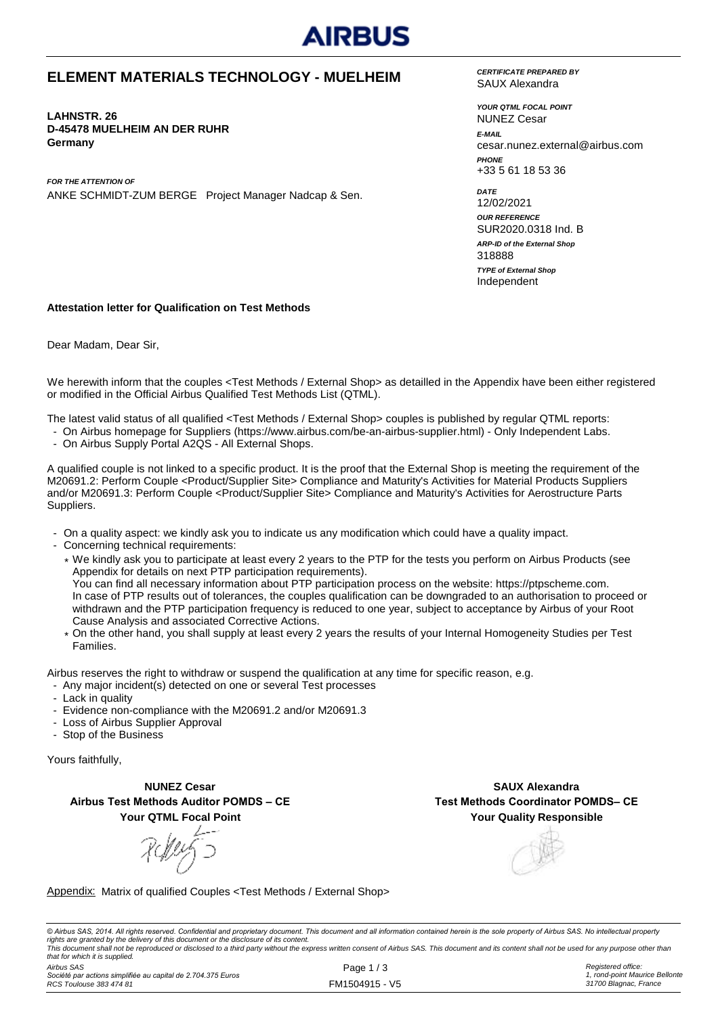

#### **ELEMENT MATERIALS TECHNOLOGY - MUELHEIM**

**LAHNSTR. 26 D-45478 MUELHEIM AN DER RUHR Germany**

*FOR THE ATTENTION OF* ANKE SCHMIDT-ZUM BERGE Project Manager Nadcap & Sen. *CERTIFICATE PREPARED BY* SAUX Alexandra

*YOUR QTML FOCAL POINT E-MAIL* cesar.nunez.external@airbus.com *PHONE* +33 5 61 18 53 36 NUNEZ Cesar

*ARP-ID of the External Shop DATE* 12/02/2021 *OUR REFERENCE* SUR2020.0318 Ind. B Independent 318888 *TYPE of External Shop*

#### **Attestation letter for Qualification on Test Methods**

Dear Madam, Dear Sir,

We herewith inform that the couples <Test Methods / External Shop> as detailled in the Appendix have been either registered or modified in the Official Airbus Qualified Test Methods List (QTML).

The latest valid status of all qualified <Test Methods / External Shop> couples is published by regular QTML reports:

- On Airbus homepage for Suppliers (https://www.airbus.com/be-an-airbus-supplier.html) Only Independent Labs.
- On Airbus Supply Portal A2QS All External Shops.

A qualified couple is not linked to a specific product. It is the proof that the External Shop is meeting the requirement of the M20691.2: Perform Couple <Product/Supplier Site> Compliance and Maturity's Activities for Material Products Suppliers and/or M20691.3: Perform Couple <Product/Supplier Site> Compliance and Maturity's Activities for Aerostructure Parts Suppliers.

- On a quality aspect: we kindly ask you to indicate us any modification which could have a quality impact.
- Concerning technical requirements:
	- \* We kindly ask you to participate at least every 2 years to the PTP for the tests you perform on Airbus Products (see Appendix for details on next PTP participation requirements). You can find all necessary information about PTP participation process on the website: https://ptpscheme.com. In case of PTP results out of tolerances, the couples qualification can be downgraded to an authorisation to proceed or withdrawn and the PTP participation frequency is reduced to one year, subject to acceptance by Airbus of your Root Cause Analysis and associated Corrective Actions.
	- \* On the other hand, you shall supply at least every 2 years the results of your Internal Homogeneity Studies per Test Families.

Airbus reserves the right to withdraw or suspend the qualification at any time for specific reason, e.g.

- Any major incident(s) detected on one or several Test processes
- Lack in quality
- Evidence non-compliance with the M20691.2 and/or M20691.3
- Loss of Airbus Supplier Approval
- Stop of the Business

Yours faithfully,

**NUNEZ Cesar Airbus Test Methods Auditor POMDS – CE Your QTML Focal Point**

**Your Quality Responsible SAUX Alexandra Test Methods Coordinator POMDS– CE**

Appendix: Matrix of qualified Couples <Test Methods / External Shop>

© Airbus SAS, 2014. All rights reserved. Confidential and proprietary document. This document and all information contained herein is the sole property of Airbus SAS. No intellectual property rights are granted by the delivery of this document or the disclosure of its content.<br>This document shall not be reproduced or disclosed to a third party without the express written consent of Airbus SAS. This document and *that for which it is supplied.*

*Airbus SAS Société par actions simplifiée au capital de 2.704.375 Euros RCS Toulouse 383 474 81*

Page 1 / 3 FM1504915 - V5 *Registered office: 1, rond-point Maurice Bellonte 31700 Blagnac, France*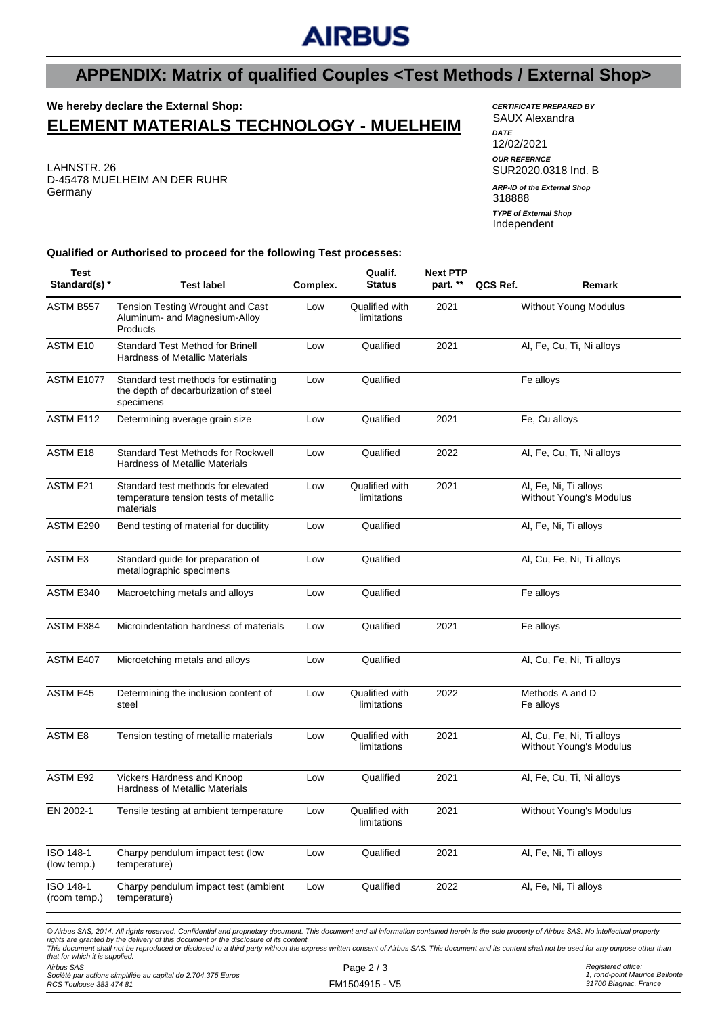# **AIRBUS**

## **APPENDIX: Matrix of qualified Couples <Test Methods / External Shop>**

### **We hereby declare the External Shop: ELEMENT MATERIALS TECHNOLOGY - MUELHEIM**

LAHNSTR. 26 D-45478 MUELHEIM AN DER RUHR Germany

*CERTIFICATE PREPARED BY* SAUX Alexandra *DATE* 12/02/2021 *OUR REFERNCE* SUR2020.0318 Ind. B

318888 Independent *ARP-ID of the External Shop TYPE of External Shop*

**Qualified or Authorised to proceed for the following Test processes:**

| <b>Test</b><br>Standard(s) *   | <b>Test label</b>                                                                                                                                                                                                                                                                                                                                                                                                                                                                             | Complex. | Qualif.<br><b>Status</b>      | <b>Next PTP</b><br>part. ** | QCS Ref.                     | Remark                                               |
|--------------------------------|-----------------------------------------------------------------------------------------------------------------------------------------------------------------------------------------------------------------------------------------------------------------------------------------------------------------------------------------------------------------------------------------------------------------------------------------------------------------------------------------------|----------|-------------------------------|-----------------------------|------------------------------|------------------------------------------------------|
| ASTM B557                      | Tension Testing Wrought and Cast<br>Aluminum- and Magnesium-Alloy<br>Products                                                                                                                                                                                                                                                                                                                                                                                                                 | Low      | Qualified with<br>limitations | 2021                        |                              | <b>Without Young Modulus</b>                         |
| ASTM E10                       | Standard Test Method for Brinell<br><b>Hardness of Metallic Materials</b>                                                                                                                                                                                                                                                                                                                                                                                                                     | Low      | Qualified                     | 2021                        |                              | Al, Fe, Cu, Ti, Ni alloys                            |
| <b>ASTM E1077</b>              | Standard test methods for estimating<br>the depth of decarburization of steel<br>specimens                                                                                                                                                                                                                                                                                                                                                                                                    | Low      | Qualified                     |                             | Fe alloys                    |                                                      |
| ASTM E112                      | Determining average grain size                                                                                                                                                                                                                                                                                                                                                                                                                                                                | Low      | Qualified                     | 2021                        |                              | Fe, Cu alloys                                        |
| <b>ASTM E18</b>                | <b>Standard Test Methods for Rockwell</b><br><b>Hardness of Metallic Materials</b>                                                                                                                                                                                                                                                                                                                                                                                                            | Low      | Qualified                     | 2022                        |                              | Al, Fe, Cu, Ti, Ni alloys                            |
| <b>ASTM E21</b>                | Standard test methods for elevated<br>temperature tension tests of metallic<br>materials                                                                                                                                                                                                                                                                                                                                                                                                      | Low      | Qualified with<br>limitations | 2021                        |                              | Al, Fe, Ni, Ti alloys<br>Without Young's Modulus     |
| ASTM E290                      | Bend testing of material for ductility                                                                                                                                                                                                                                                                                                                                                                                                                                                        | Low      | Qualified                     |                             | Al, Fe, Ni, Ti alloys        |                                                      |
| <b>ASTM E3</b>                 | Standard guide for preparation of<br>metallographic specimens                                                                                                                                                                                                                                                                                                                                                                                                                                 | Low      | Qualified                     |                             |                              | Al, Cu, Fe, Ni, Ti alloys                            |
| ASTM E340                      | Macroetching metals and alloys                                                                                                                                                                                                                                                                                                                                                                                                                                                                | Low      | Qualified                     |                             |                              | Fe alloys                                            |
| ASTM E384                      | Microindentation hardness of materials                                                                                                                                                                                                                                                                                                                                                                                                                                                        | Low      | Qualified                     | 2021                        |                              | Fe alloys                                            |
| ASTM E407                      | Microetching metals and alloys                                                                                                                                                                                                                                                                                                                                                                                                                                                                | Low      | Qualified                     |                             |                              | Al, Cu, Fe, Ni, Ti alloys                            |
| ASTM E45                       | Determining the inclusion content of<br>steel                                                                                                                                                                                                                                                                                                                                                                                                                                                 | Low      | Qualified with<br>limitations | 2022                        | Methods A and D<br>Fe alloys |                                                      |
| ASTM E8                        | Tension testing of metallic materials                                                                                                                                                                                                                                                                                                                                                                                                                                                         | Low      | Qualified with<br>limitations | 2021                        |                              | Al, Cu, Fe, Ni, Ti alloys<br>Without Young's Modulus |
| ASTM E92                       | <b>Vickers Hardness and Knoop</b><br><b>Hardness of Metallic Materials</b>                                                                                                                                                                                                                                                                                                                                                                                                                    | Low      | Qualified                     | 2021                        |                              | Al, Fe, Cu, Ti, Ni alloys                            |
| EN 2002-1                      | Tensile testing at ambient temperature                                                                                                                                                                                                                                                                                                                                                                                                                                                        | Low      | Qualified with<br>limitations | 2021                        |                              | Without Young's Modulus                              |
| ISO 148-1<br>(low temp.)       | Charpy pendulum impact test (low<br>temperature)                                                                                                                                                                                                                                                                                                                                                                                                                                              | Low      | Qualified                     | 2021                        |                              | Al, Fe, Ni, Ti alloys                                |
| ISO 148-1<br>(room temp.)      | Charpy pendulum impact test (ambient<br>temperature)                                                                                                                                                                                                                                                                                                                                                                                                                                          | Low      | Qualified                     | 2022                        |                              | Al, Fe, Ni, Ti alloys                                |
| that for which it is supplied. | © Airbus SAS, 2014. All rights reserved. Confidential and proprietary document. This document and all information contained herein is the sole property of Airbus SAS. No intellectual property<br>rights are granted by the delivery of this document or the disclosure of its content.<br>This document shall not be reproduced or disclosed to a third party without the express written consent of Airbus SAS. This document and its content shall not be used for any purpose other than |          |                               |                             |                              |                                                      |

*Airbus SAS Société par actions simplifiée au capital de 2.704.375 Euros RCS Toulouse 383 474 81*